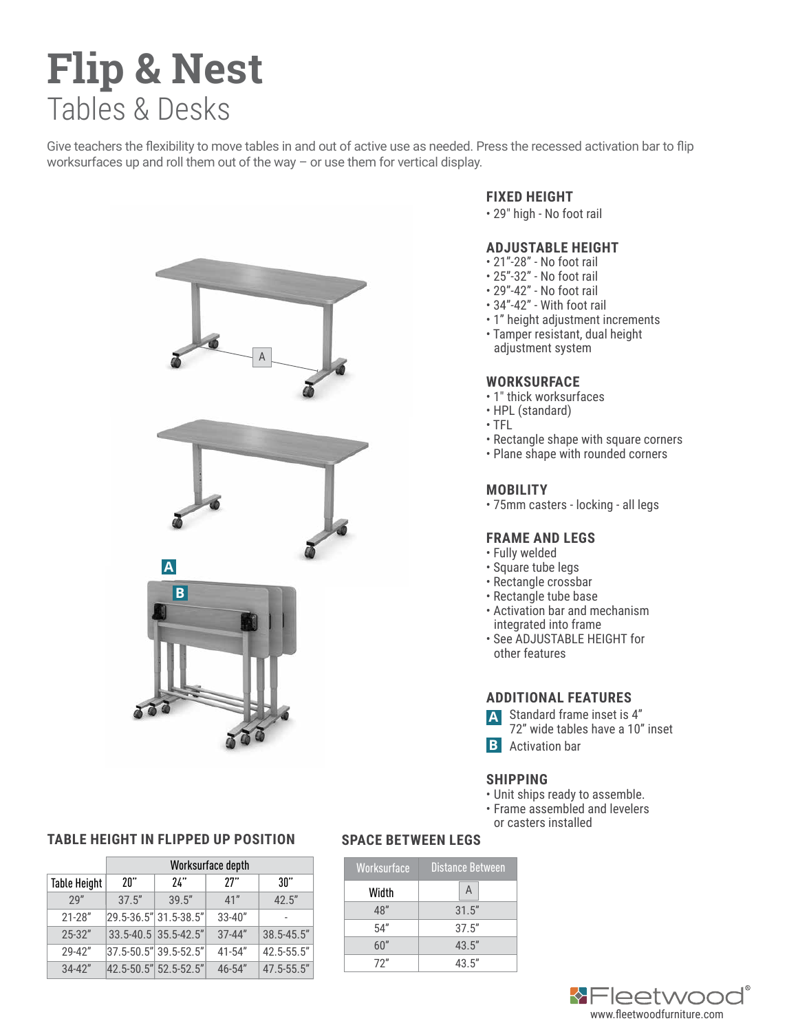# **Flip & Nest**  Tables & Desks

Give teachers the flexibility to move tables in and out of active use as needed. Press the recessed activation bar to flip worksurfaces up and roll them out of the way – or use them for vertical display.



### **TABLE HEIGHT IN FLIPPED UP POSITION SPACE BETWEEN LEGS**

|                     | Worksurface depth |                          |            |                 |
|---------------------|-------------------|--------------------------|------------|-----------------|
| <b>Table Height</b> | "ו?               | 74"                      | 77"        | 30"             |
| 79"                 | 37.5"             | 39.5"                    | 41"        | 42.5"           |
| $21 - 28"$          |                   | 29.5-36.5" 31.5-38.5"    | $33 - 40"$ |                 |
| $25 - 32"$          |                   | $33.5 - 40.5$ 35.5-42.5" | $37 - 44"$ | $38.5 - 45.5$ " |
| 29-42"              |                   | 37.5-50.5" 39.5-52.5"    | $41 - 54"$ | 42.5-55.5"      |
| $34 - 42"$          |                   | 42.5-50.5" 52.5-52.5"    | $46 - 54"$ | 47.5-55.5"      |

#### **FIXED HEIGHT**

• 29" high - No foot rail

#### **ADJUSTABLE HEIGHT**

- 21"-28" No foot rail
- 25"-32" No foot rail
- 29"-42" No foot rail
- 34"-42" With foot rail
- 1" height adjustment increments
- Tamper resistant, dual height adjustment system

#### **WORKSURFACE**

- 1" thick worksurfaces
- HPL (standard)
- TFL
- Rectangle shape with square corners
- Plane shape with rounded corners

### **MOBILITY**

• 75mm casters - locking - all legs

#### **FRAME AND LEGS**

- Fully welded
- Square tube legs
- Rectangle crossbar
- Rectangle tube base
- Activation bar and mechanism integrated into frame
- See ADJUSTABLE HEIGHT for other features

### **ADDITIONAL FEATURES**

Standard frame inset is 4" **A**

 72" wide tables have a 10" inset Activation bar **B**

#### **SHIPPING**

- Unit ships ready to assemble.
- Frame assembled and levelers or casters installed

| Worksurface | Distance Between |  |
|-------------|------------------|--|
| Width       | A                |  |
| 48″         | 31.5"            |  |
| 54''        | 37.5"            |  |
| 60"         | 43.5''           |  |
| 72"         | 43.5''           |  |